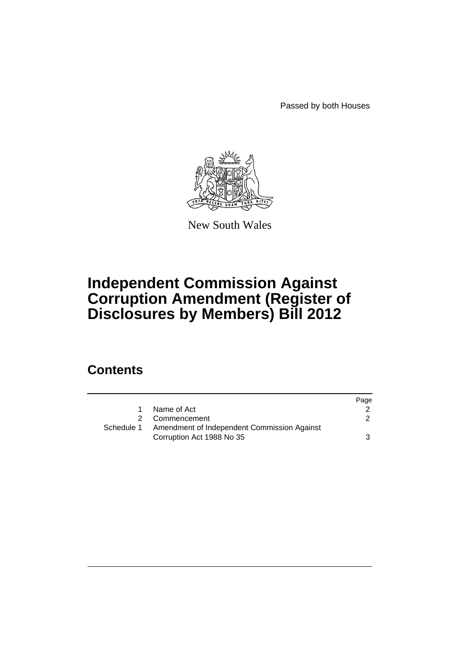Passed by both Houses



New South Wales

# **Independent Commission Against Corruption Amendment (Register of Disclosures by Members) Bill 2012**

### **Contents**

|            |                                             | Page          |
|------------|---------------------------------------------|---------------|
|            | Name of Act                                 |               |
|            | 2 Commencement                              | $\mathcal{P}$ |
| Schedule 1 | Amendment of Independent Commission Against |               |
|            | Corruption Act 1988 No 35                   | 3             |
|            |                                             |               |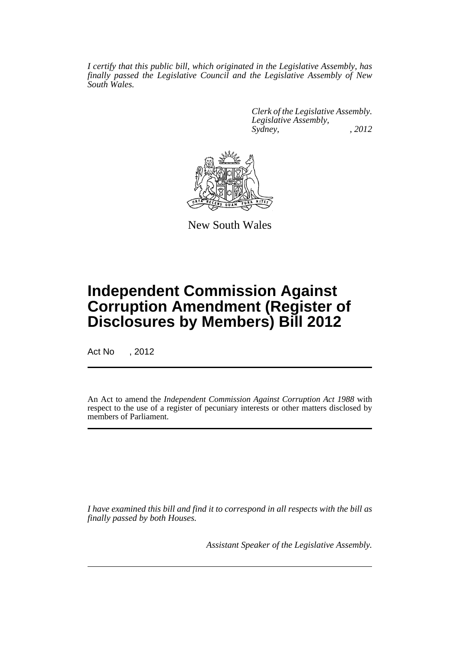*I certify that this public bill, which originated in the Legislative Assembly, has finally passed the Legislative Council and the Legislative Assembly of New South Wales.*

> *Clerk of the Legislative Assembly. Legislative Assembly, Sydney, , 2012*



New South Wales

## **Independent Commission Against Corruption Amendment (Register of Disclosures by Members) Bill 2012**

Act No , 2012

An Act to amend the *Independent Commission Against Corruption Act 1988* with respect to the use of a register of pecuniary interests or other matters disclosed by members of Parliament.

*I have examined this bill and find it to correspond in all respects with the bill as finally passed by both Houses.*

*Assistant Speaker of the Legislative Assembly.*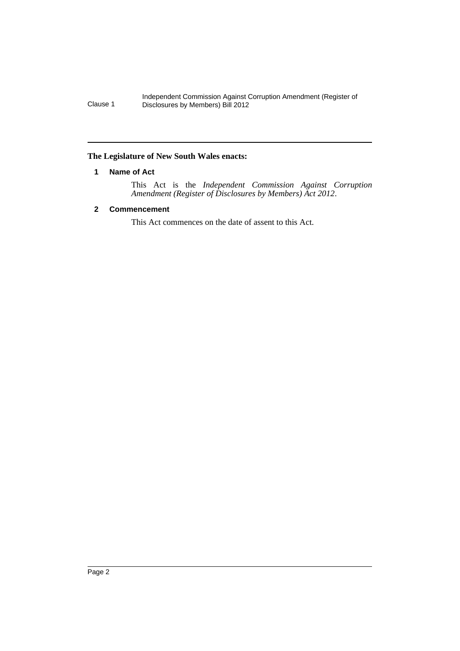Independent Commission Against Corruption Amendment (Register of Clause 1 Disclosures by Members) Bill 2012

#### <span id="page-3-0"></span>**The Legislature of New South Wales enacts:**

#### **1 Name of Act**

This Act is the *Independent Commission Against Corruption Amendment (Register of Disclosures by Members) Act 2012*.

#### <span id="page-3-1"></span>**2 Commencement**

This Act commences on the date of assent to this Act.